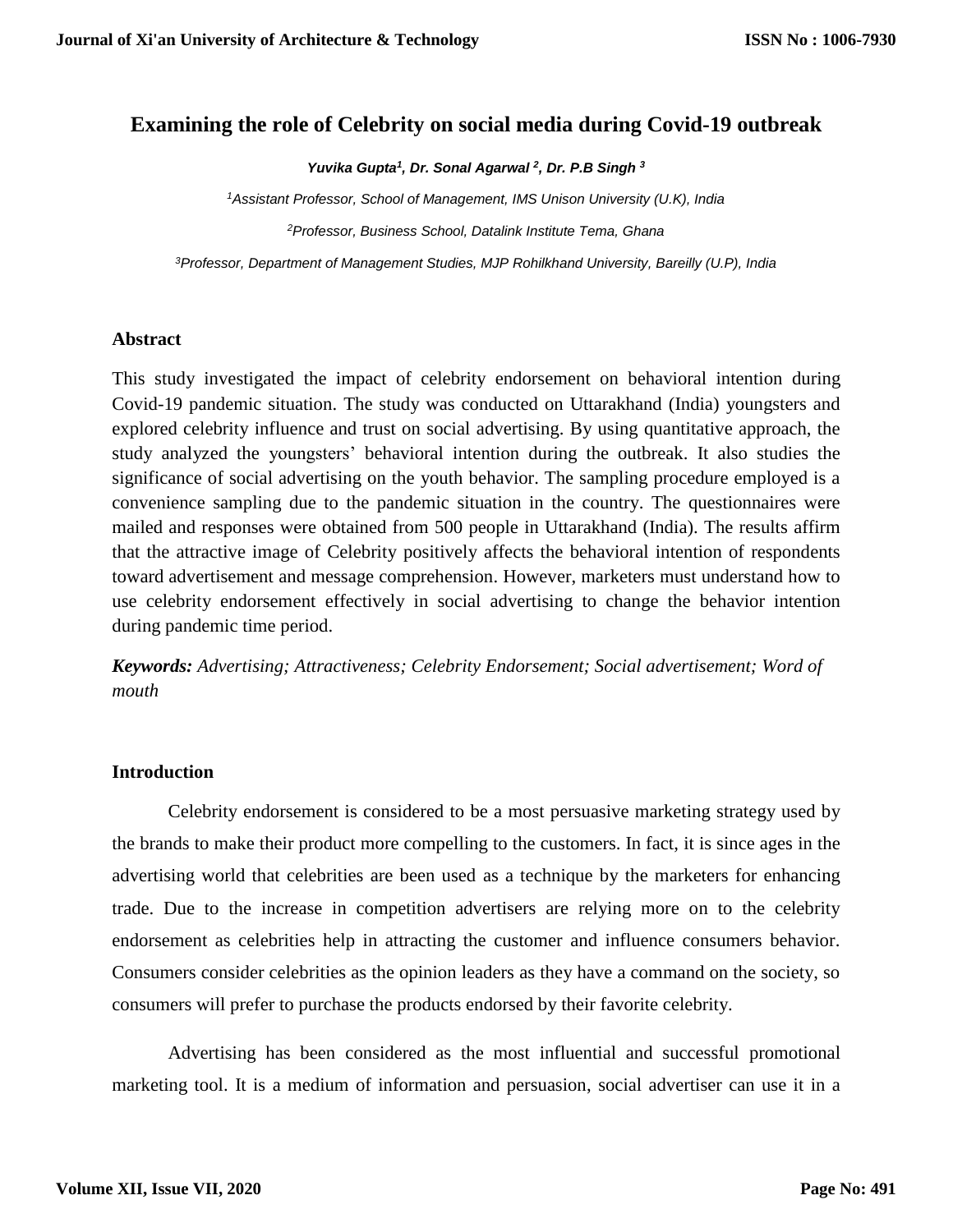# **Examining the role of Celebrity on social media during Covid-19 outbreak**

*Yuvika Gupta<sup>1</sup> , Dr. Sonal Agarwal <sup>2</sup> , Dr. P.B Singh <sup>3</sup>*

*<sup>1</sup>Assistant Professor, School of Management, IMS Unison University (U.K), India <sup>2</sup>Professor, Business School, Datalink Institute Tema, Ghana*

*<sup>3</sup>Professor, Department of Management Studies, MJP Rohilkhand University, Bareilly (U.P), India*

#### **Abstract**

This study investigated the impact of celebrity endorsement on behavioral intention during Covid-19 pandemic situation. The study was conducted on Uttarakhand (India) youngsters and explored celebrity influence and trust on social advertising. By using quantitative approach, the study analyzed the youngsters' behavioral intention during the outbreak. It also studies the significance of social advertising on the youth behavior. The sampling procedure employed is a convenience sampling due to the pandemic situation in the country. The questionnaires were mailed and responses were obtained from 500 people in Uttarakhand (India). The results affirm that the attractive image of Celebrity positively affects the behavioral intention of respondents toward advertisement and message comprehension. However, marketers must understand how to use celebrity endorsement effectively in social advertising to change the behavior intention during pandemic time period.

*Keywords: Advertising; Attractiveness; Celebrity Endorsement; Social advertisement; Word of mouth*

#### **Introduction**

Celebrity endorsement is considered to be a most persuasive marketing strategy used by the brands to make their product more compelling to the customers. In fact, it is since ages in the advertising world that celebrities are been used as a technique by the marketers for enhancing trade. Due to the increase in competition advertisers are relying more on to the celebrity endorsement as celebrities help in attracting the customer and influence consumers behavior. Consumers consider celebrities as the opinion leaders as they have a command on the society, so consumers will prefer to purchase the products endorsed by their favorite celebrity.

Advertising has been considered as the most influential and successful promotional marketing tool. It is a medium of information and persuasion, social advertiser can use it in a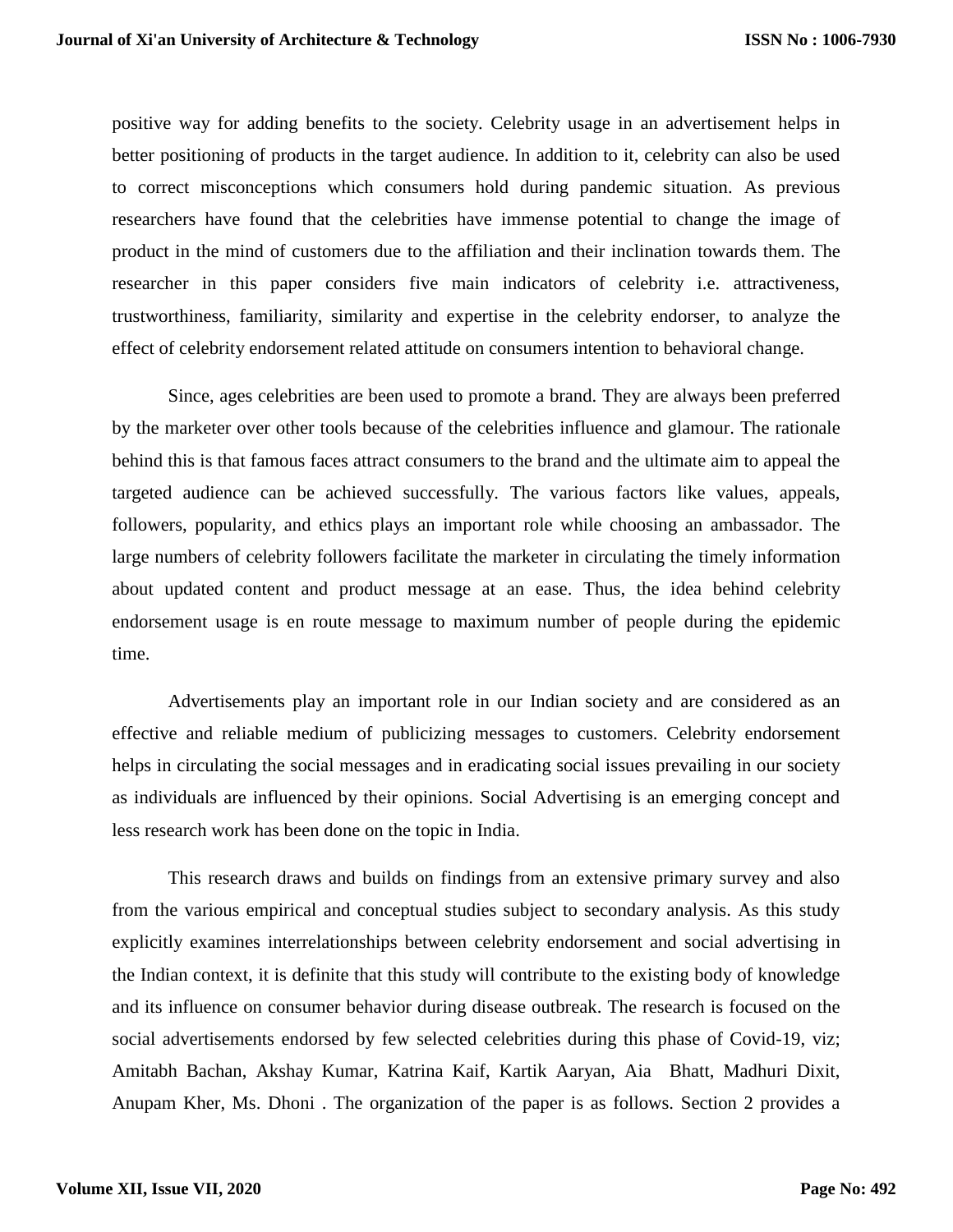positive way for adding benefits to the society. Celebrity usage in an advertisement helps in better positioning of products in the target audience. In addition to it, celebrity can also be used to correct misconceptions which consumers hold during pandemic situation. As previous researchers have found that the celebrities have immense potential to change the image of product in the mind of customers due to the affiliation and their inclination towards them. The researcher in this paper considers five main indicators of celebrity i.e. attractiveness, trustworthiness, familiarity, similarity and expertise in the celebrity endorser, to analyze the effect of celebrity endorsement related attitude on consumers intention to behavioral change.

Since, ages celebrities are been used to promote a brand. They are always been preferred by the marketer over other tools because of the celebrities influence and glamour. The rationale behind this is that famous faces attract consumers to the brand and the ultimate aim to appeal the targeted audience can be achieved successfully. The various factors like values, appeals, followers, popularity, and ethics plays an important role while choosing an ambassador. The large numbers of celebrity followers facilitate the marketer in circulating the timely information about updated content and product message at an ease. Thus, the idea behind celebrity endorsement usage is en route message to maximum number of people during the epidemic time.

Advertisements play an important role in our Indian society and are considered as an effective and reliable medium of publicizing messages to customers. Celebrity endorsement helps in circulating the social messages and in eradicating social issues prevailing in our society as individuals are influenced by their opinions. Social Advertising is an emerging concept and less research work has been done on the topic in India.

This research draws and builds on findings from an extensive primary survey and also from the various empirical and conceptual studies subject to secondary analysis. As this study explicitly examines interrelationships between celebrity endorsement and social advertising in the Indian context, it is definite that this study will contribute to the existing body of knowledge and its influence on consumer behavior during disease outbreak. The research is focused on the social advertisements endorsed by few selected celebrities during this phase of Covid-19, viz; Amitabh Bachan, Akshay Kumar, Katrina Kaif, Kartik Aaryan, Aia Bhatt, Madhuri Dixit, Anupam Kher, Ms. Dhoni . The organization of the paper is as follows. Section 2 provides a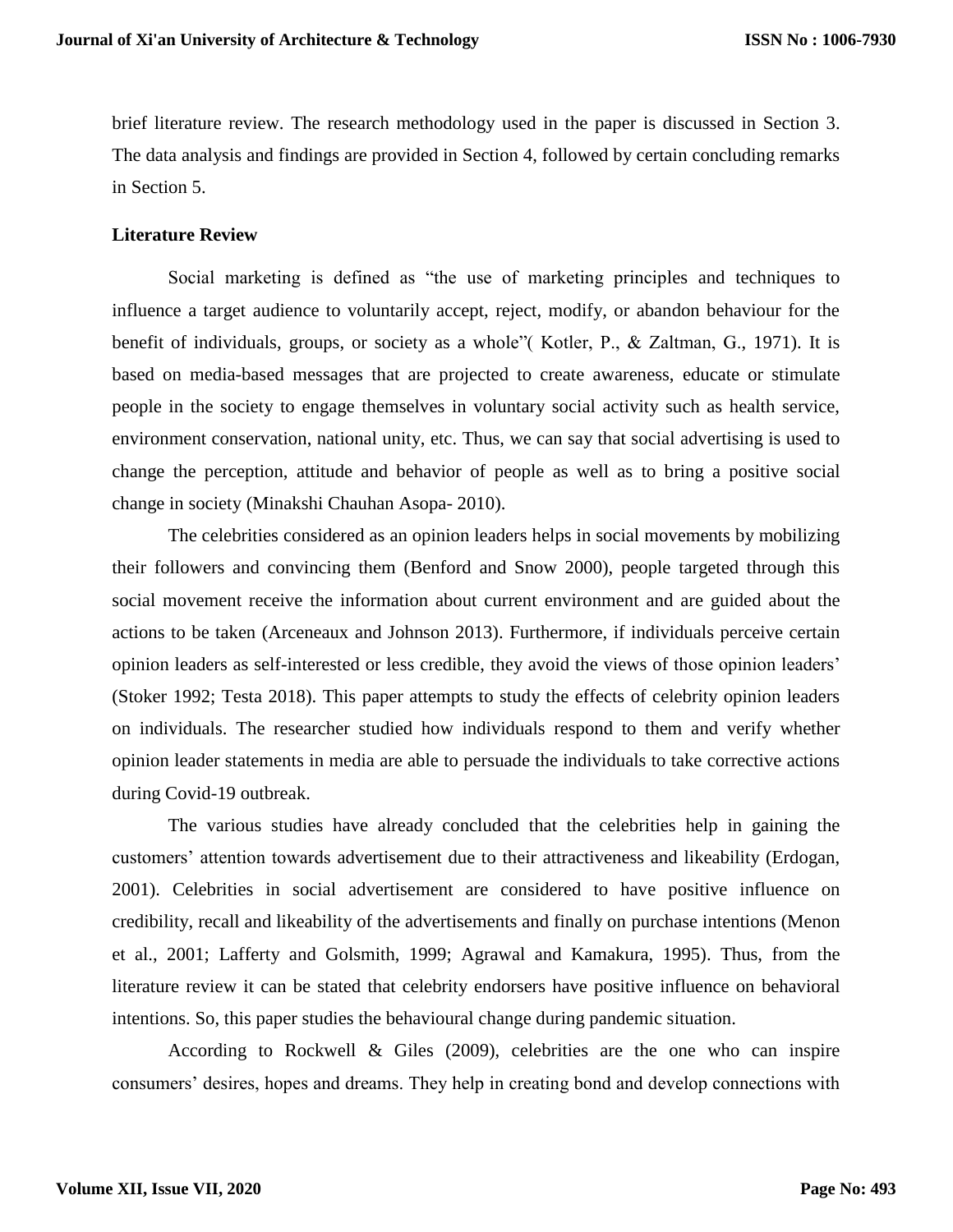brief literature review. The research methodology used in the paper is discussed in Section 3. The data analysis and findings are provided in Section 4, followed by certain concluding remarks in Section 5.

#### **Literature Review**

Social marketing is defined as "the use of marketing principles and techniques to influence a target audience to voluntarily accept, reject, modify, or abandon behaviour for the benefit of individuals, groups, or society as a whole"( Kotler, P., & Zaltman, G., 1971). It is based on media-based messages that are projected to create awareness, educate or stimulate people in the society to engage themselves in voluntary social activity such as health service, environment conservation, national unity, etc. Thus, we can say that social advertising is used to change the perception, attitude and behavior of people as well as to bring a positive social change in society (Minakshi Chauhan Asopa- 2010).

The celebrities considered as an opinion leaders helps in social movements by mobilizing their followers and convincing them (Benford and Snow 2000), people targeted through this social movement receive the information about current environment and are guided about the actions to be taken (Arceneaux and Johnson 2013). Furthermore, if individuals perceive certain opinion leaders as self-interested or less credible, they avoid the views of those opinion leaders' (Stoker 1992; Testa 2018). This paper attempts to study the effects of celebrity opinion leaders on individuals. The researcher studied how individuals respond to them and verify whether opinion leader statements in media are able to persuade the individuals to take corrective actions during Covid-19 outbreak.

The various studies have already concluded that the celebrities help in gaining the customers' attention towards advertisement due to their attractiveness and likeability (Erdogan, 2001). Celebrities in social advertisement are considered to have positive influence on credibility, recall and likeability of the advertisements and finally on purchase intentions (Menon et al., 2001; Lafferty and Golsmith, 1999; Agrawal and Kamakura, 1995). Thus, from the literature review it can be stated that celebrity endorsers have positive influence on behavioral intentions. So, this paper studies the behavioural change during pandemic situation.

According to Rockwell & Giles (2009), celebrities are the one who can inspire consumers' desires, hopes and dreams. They help in creating bond and develop connections with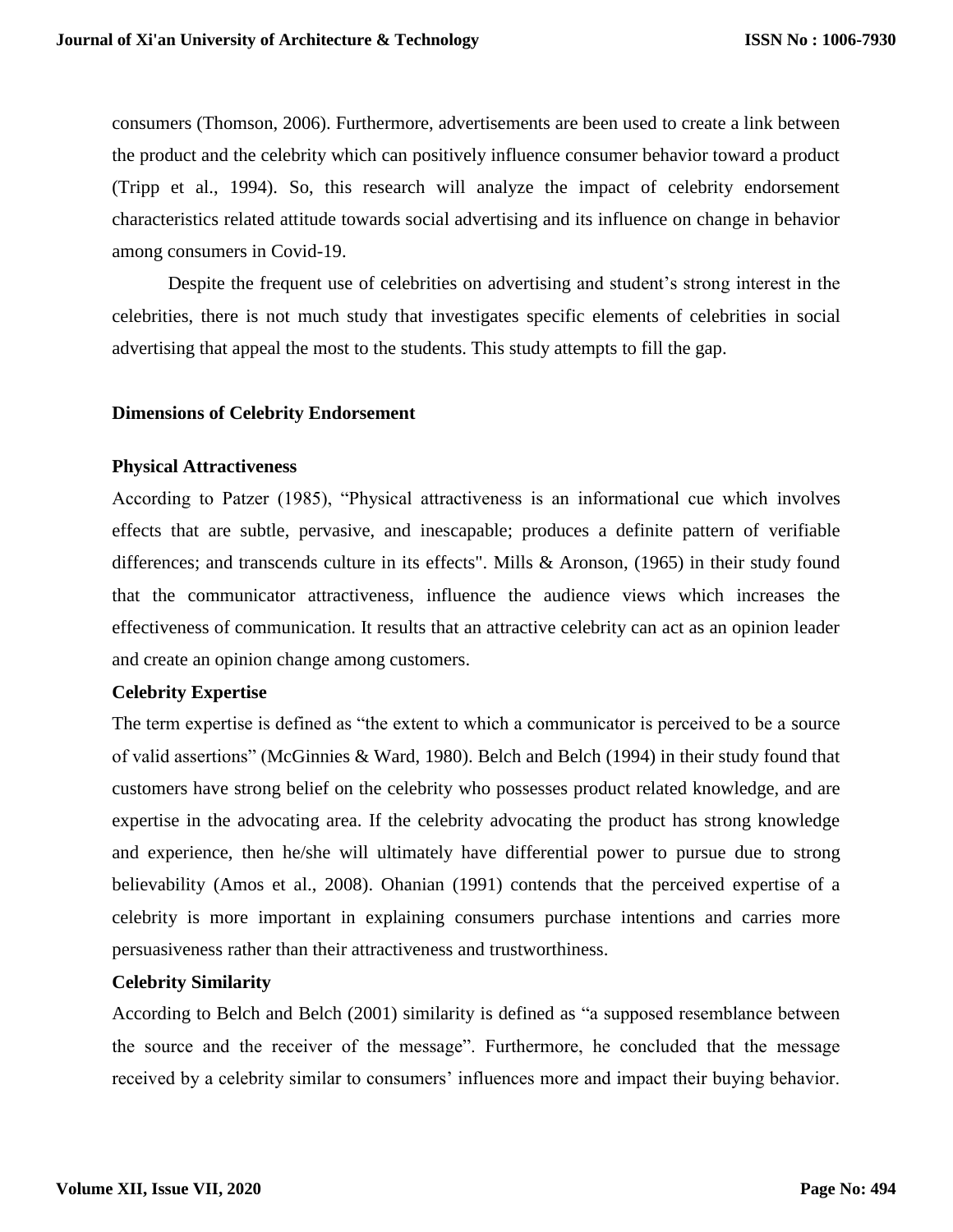consumers (Thomson, 2006). Furthermore, advertisements are been used to create a link between the product and the celebrity which can positively influence consumer behavior toward a product (Tripp et al., 1994). So, this research will analyze the impact of celebrity endorsement characteristics related attitude towards social advertising and its influence on change in behavior among consumers in Covid-19.

Despite the frequent use of celebrities on advertising and student's strong interest in the celebrities, there is not much study that investigates specific elements of celebrities in social advertising that appeal the most to the students. This study attempts to fill the gap.

#### **Dimensions of Celebrity Endorsement**

#### **Physical Attractiveness**

According to Patzer (1985), "Physical attractiveness is an informational cue which involves effects that are subtle, pervasive, and inescapable; produces a definite pattern of verifiable differences; and transcends culture in its effects". Mills & Aronson, (1965) in their study found that the communicator attractiveness, influence the audience views which increases the effectiveness of communication. It results that an attractive celebrity can act as an opinion leader and create an opinion change among customers.

#### **Celebrity Expertise**

The term expertise is defined as "the extent to which a communicator is perceived to be a source of valid assertions" (McGinnies & Ward, 1980). Belch and Belch (1994) in their study found that customers have strong belief on the celebrity who possesses product related knowledge, and are expertise in the advocating area. If the celebrity advocating the product has strong knowledge and experience, then he/she will ultimately have differential power to pursue due to strong believability (Amos et al., 2008). Ohanian (1991) contends that the perceived expertise of a celebrity is more important in explaining consumers purchase intentions and carries more persuasiveness rather than their attractiveness and trustworthiness.

#### **Celebrity Similarity**

According to Belch and Belch (2001) similarity is defined as "a supposed resemblance between the source and the receiver of the message". Furthermore, he concluded that the message received by a celebrity similar to consumers' influences more and impact their buying behavior.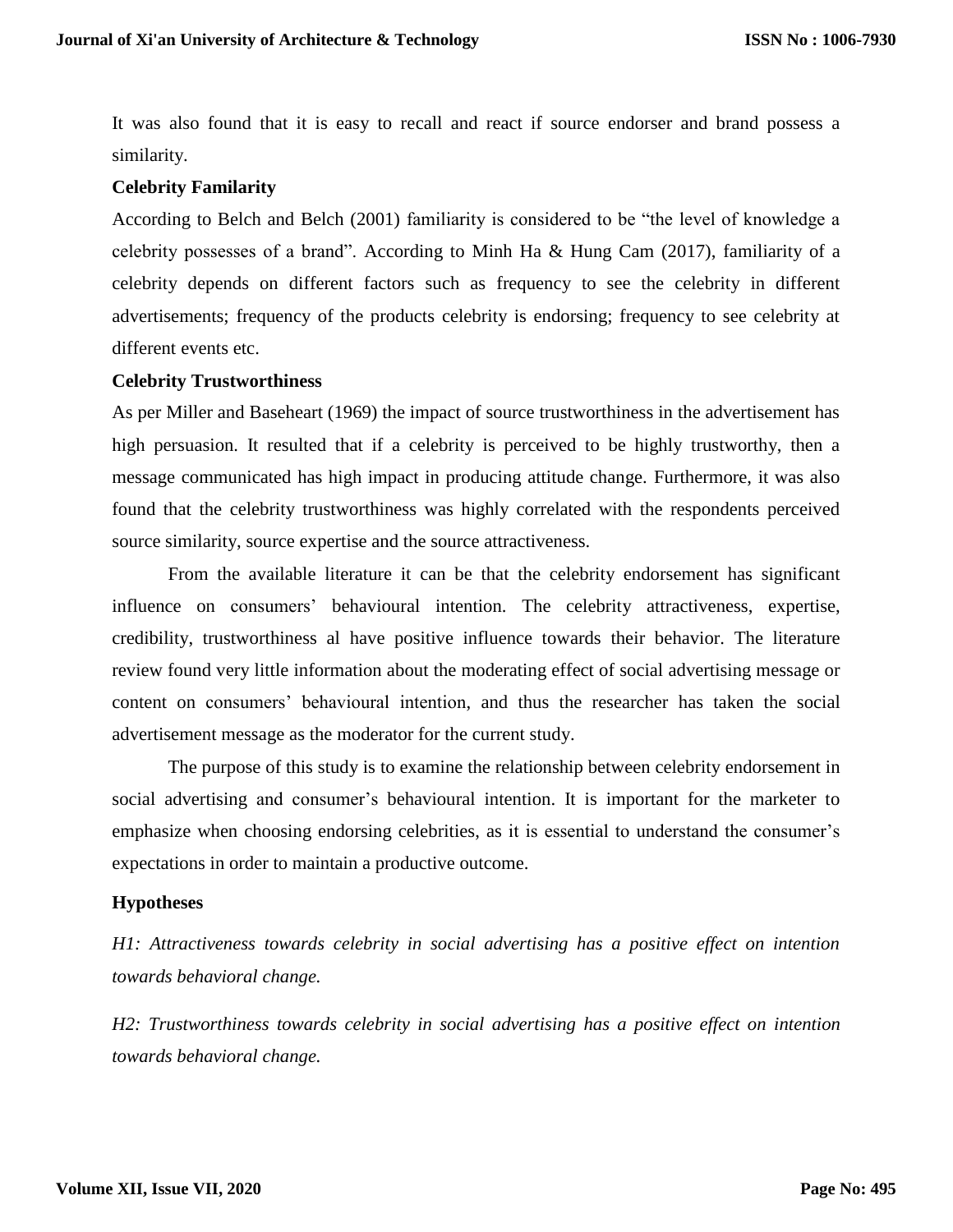It was also found that it is easy to recall and react if source endorser and brand possess a similarity.

### **Celebrity Familarity**

According to Belch and Belch (2001) familiarity is considered to be "the level of knowledge a celebrity possesses of a brand". According to Minh Ha & Hung Cam (2017), familiarity of a celebrity depends on different factors such as frequency to see the celebrity in different advertisements; frequency of the products celebrity is endorsing; frequency to see celebrity at different events etc.

### **Celebrity Trustworthiness**

As per Miller and Baseheart (1969) the impact of source trustworthiness in the advertisement has high persuasion. It resulted that if a celebrity is perceived to be highly trustworthy, then a message communicated has high impact in producing attitude change. Furthermore, it was also found that the celebrity trustworthiness was highly correlated with the respondents perceived source similarity, source expertise and the source attractiveness.

From the available literature it can be that the celebrity endorsement has significant influence on consumers' behavioural intention. The celebrity attractiveness, expertise, credibility, trustworthiness al have positive influence towards their behavior. The literature review found very little information about the moderating effect of social advertising message or content on consumers' behavioural intention, and thus the researcher has taken the social advertisement message as the moderator for the current study.

The purpose of this study is to examine the relationship between celebrity endorsement in social advertising and consumer's behavioural intention. It is important for the marketer to emphasize when choosing endorsing celebrities, as it is essential to understand the consumer's expectations in order to maintain a productive outcome.

## **Hypotheses**

*H1: Attractiveness towards celebrity in social advertising has a positive effect on intention towards behavioral change.*

*H2: Trustworthiness towards celebrity in social advertising has a positive effect on intention towards behavioral change.*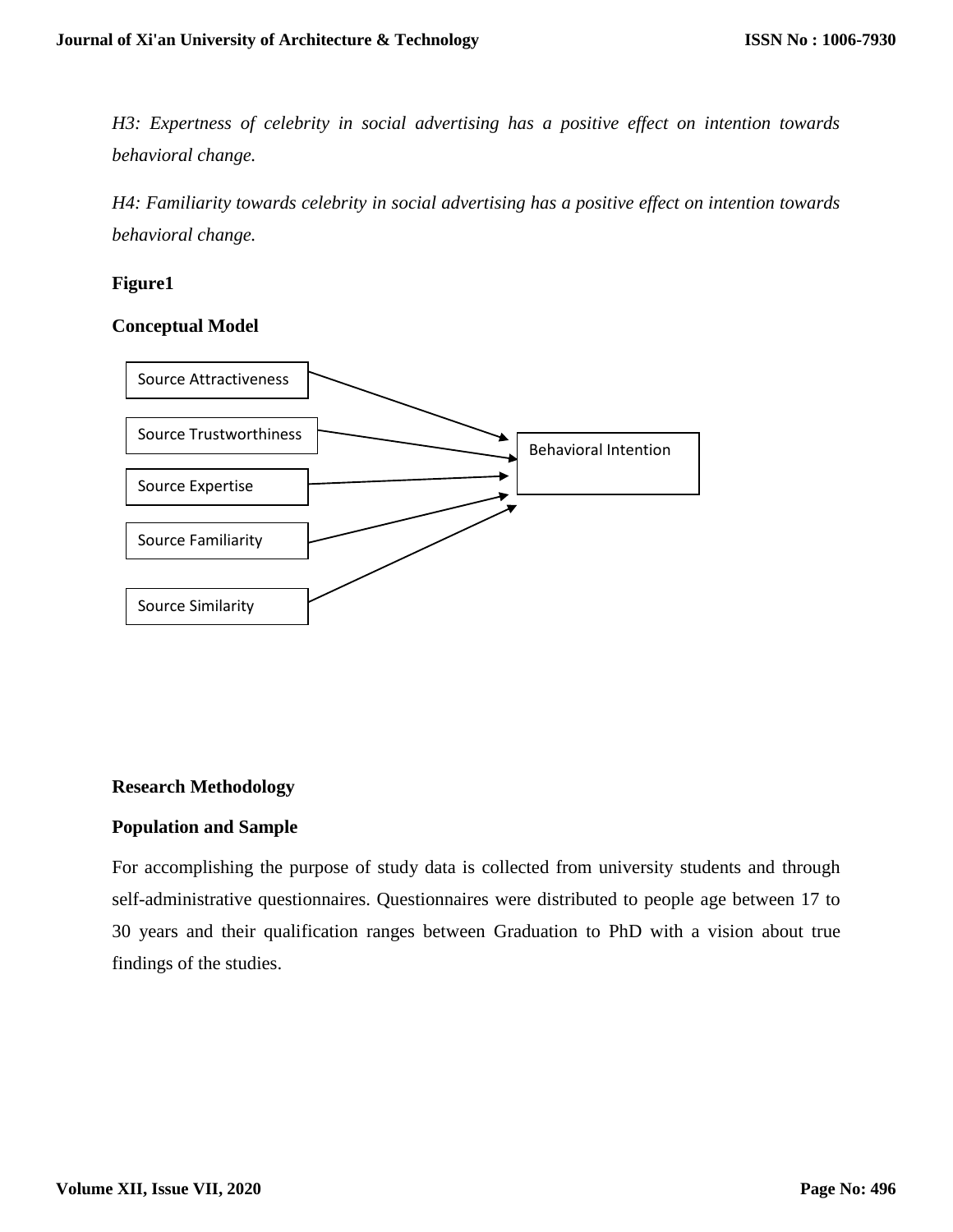*H3: Expertness of celebrity in social advertising has a positive effect on intention towards behavioral change.*

*H4: Familiarity towards celebrity in social advertising has a positive effect on intention towards behavioral change.*

# **Figure1**

## **Conceptual Model**



## **Research Methodology**

## **Population and Sample**

For accomplishing the purpose of study data is collected from university students and through self-administrative questionnaires. Questionnaires were distributed to people age between 17 to 30 years and their qualification ranges between Graduation to PhD with a vision about true findings of the studies.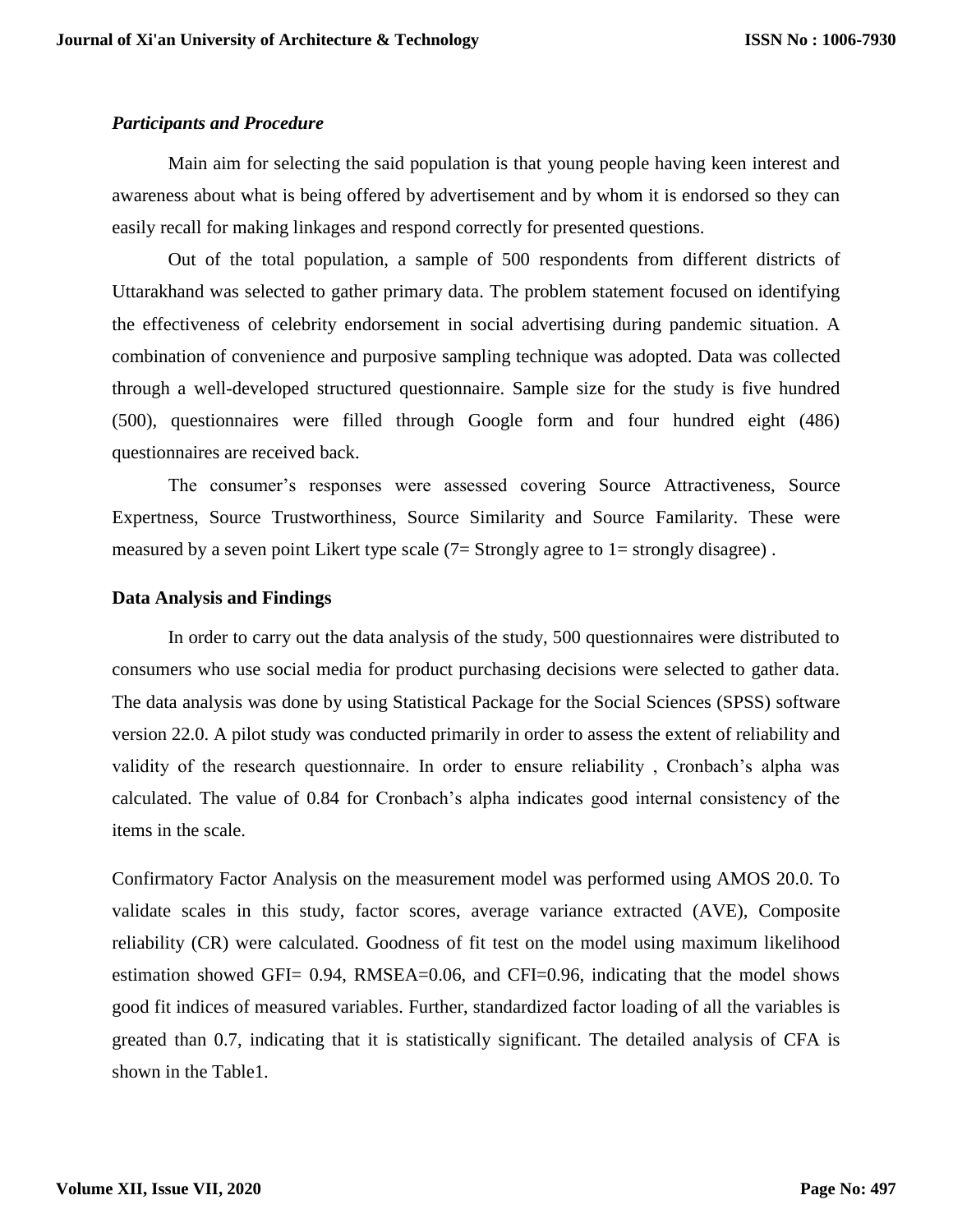### *Participants and Procedure*

Main aim for selecting the said population is that young people having keen interest and awareness about what is being offered by advertisement and by whom it is endorsed so they can easily recall for making linkages and respond correctly for presented questions.

Out of the total population, a sample of 500 respondents from different districts of Uttarakhand was selected to gather primary data. The problem statement focused on identifying the effectiveness of celebrity endorsement in social advertising during pandemic situation. A combination of convenience and purposive sampling technique was adopted. Data was collected through a well-developed structured questionnaire. Sample size for the study is five hundred (500), questionnaires were filled through Google form and four hundred eight (486) questionnaires are received back.

The consumer's responses were assessed covering Source Attractiveness, Source Expertness, Source Trustworthiness, Source Similarity and Source Familarity. These were measured by a seven point Likert type scale (7= Strongly agree to 1= strongly disagree).

### **Data Analysis and Findings**

In order to carry out the data analysis of the study, 500 questionnaires were distributed to consumers who use social media for product purchasing decisions were selected to gather data. The data analysis was done by using Statistical Package for the Social Sciences (SPSS) software version 22.0. A pilot study was conducted primarily in order to assess the extent of reliability and validity of the research questionnaire. In order to ensure reliability , Cronbach's alpha was calculated. The value of 0.84 for Cronbach's alpha indicates good internal consistency of the items in the scale.

Confirmatory Factor Analysis on the measurement model was performed using AMOS 20.0. To validate scales in this study, factor scores, average variance extracted (AVE), Composite reliability (CR) were calculated. Goodness of fit test on the model using maximum likelihood estimation showed GFI= 0.94, RMSEA=0.06, and CFI=0.96, indicating that the model shows good fit indices of measured variables. Further, standardized factor loading of all the variables is greated than 0.7, indicating that it is statistically significant. The detailed analysis of CFA is shown in the Table1.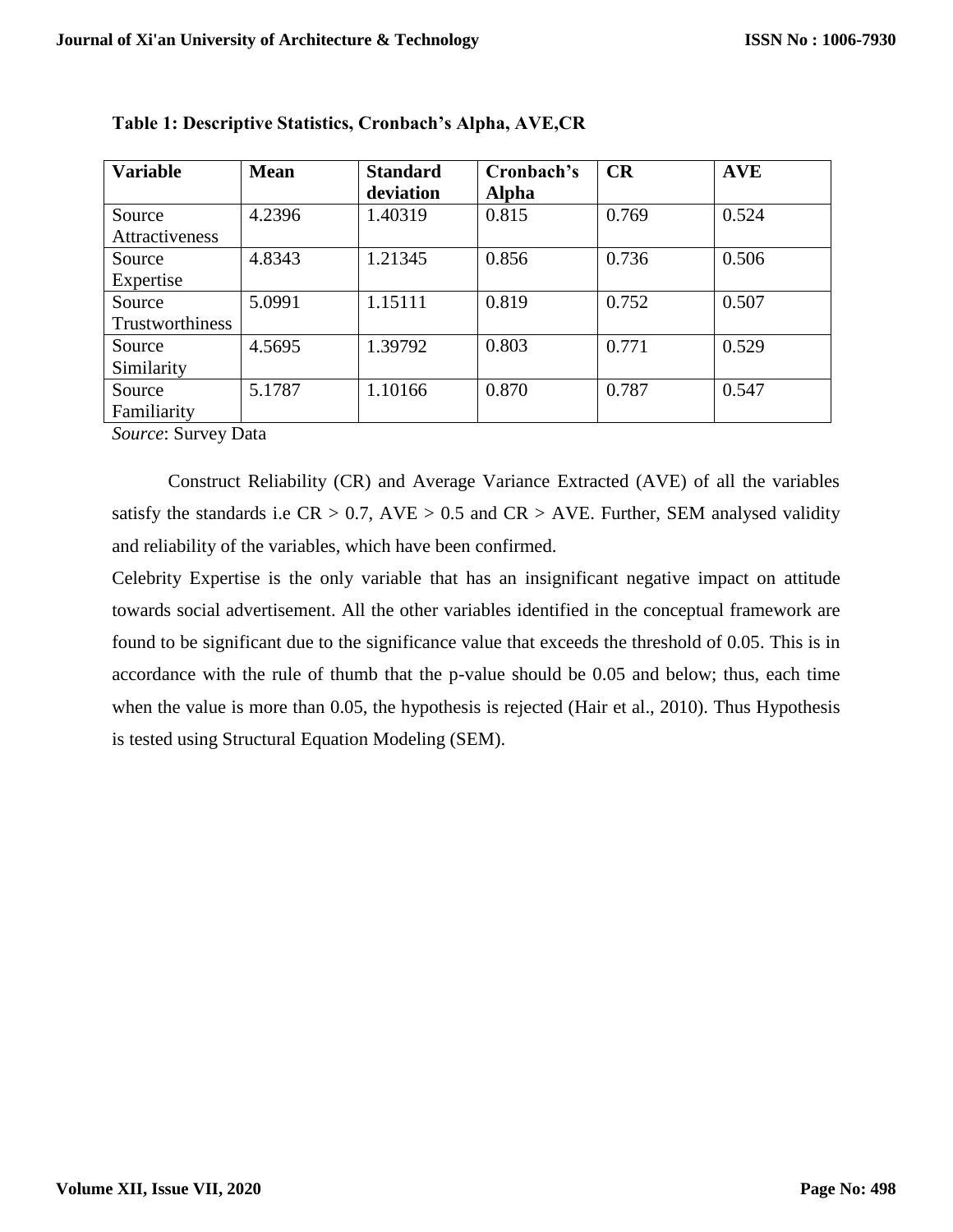| <b>Variable</b>                | <b>Mean</b> | <b>Standard</b> | Cronbach's   | CR    | <b>AVE</b> |  |
|--------------------------------|-------------|-----------------|--------------|-------|------------|--|
|                                |             | deviation       | <b>Alpha</b> |       |            |  |
| Source                         | 4.2396      | 1.40319         | 0.815        | 0.769 | 0.524      |  |
| Attractiveness                 |             |                 |              |       |            |  |
| Source                         | 4.8343      | 1.21345         | 0.856        | 0.736 | 0.506      |  |
| Expertise                      |             |                 |              |       |            |  |
| Source                         | 5.0991      | 1.15111         | 0.819        | 0.752 | 0.507      |  |
| Trustworthiness                |             |                 |              |       |            |  |
| Source                         | 4.5695      | 1.39792         | 0.803        | 0.771 | 0.529      |  |
| Similarity                     |             |                 |              |       |            |  |
| Source                         | 5.1787      | 1.10166         | 0.870        | 0.787 | 0.547      |  |
| Familiarity                    |             |                 |              |       |            |  |
| $\sim$ $\sim$<br>$\sim$ $\sim$ |             |                 |              |       |            |  |

|  | Table 1: Descriptive Statistics, Cronbach's Alpha, AVE,CR |  |  |
|--|-----------------------------------------------------------|--|--|
|--|-----------------------------------------------------------|--|--|

*Source*: Survey Data

Construct Reliability (CR) and Average Variance Extracted (AVE) of all the variables satisfy the standards i.e  $CR > 0.7$ ,  $AVE > 0.5$  and  $CR > AVE$ . Further, SEM analysed validity and reliability of the variables, which have been confirmed.

Celebrity Expertise is the only variable that has an insignificant negative impact on attitude towards social advertisement. All the other variables identified in the conceptual framework are found to be significant due to the significance value that exceeds the threshold of 0.05. This is in accordance with the rule of thumb that the p-value should be 0.05 and below; thus, each time when the value is more than 0.05, the hypothesis is rejected (Hair et al., 2010). Thus Hypothesis is tested using Structural Equation Modeling (SEM).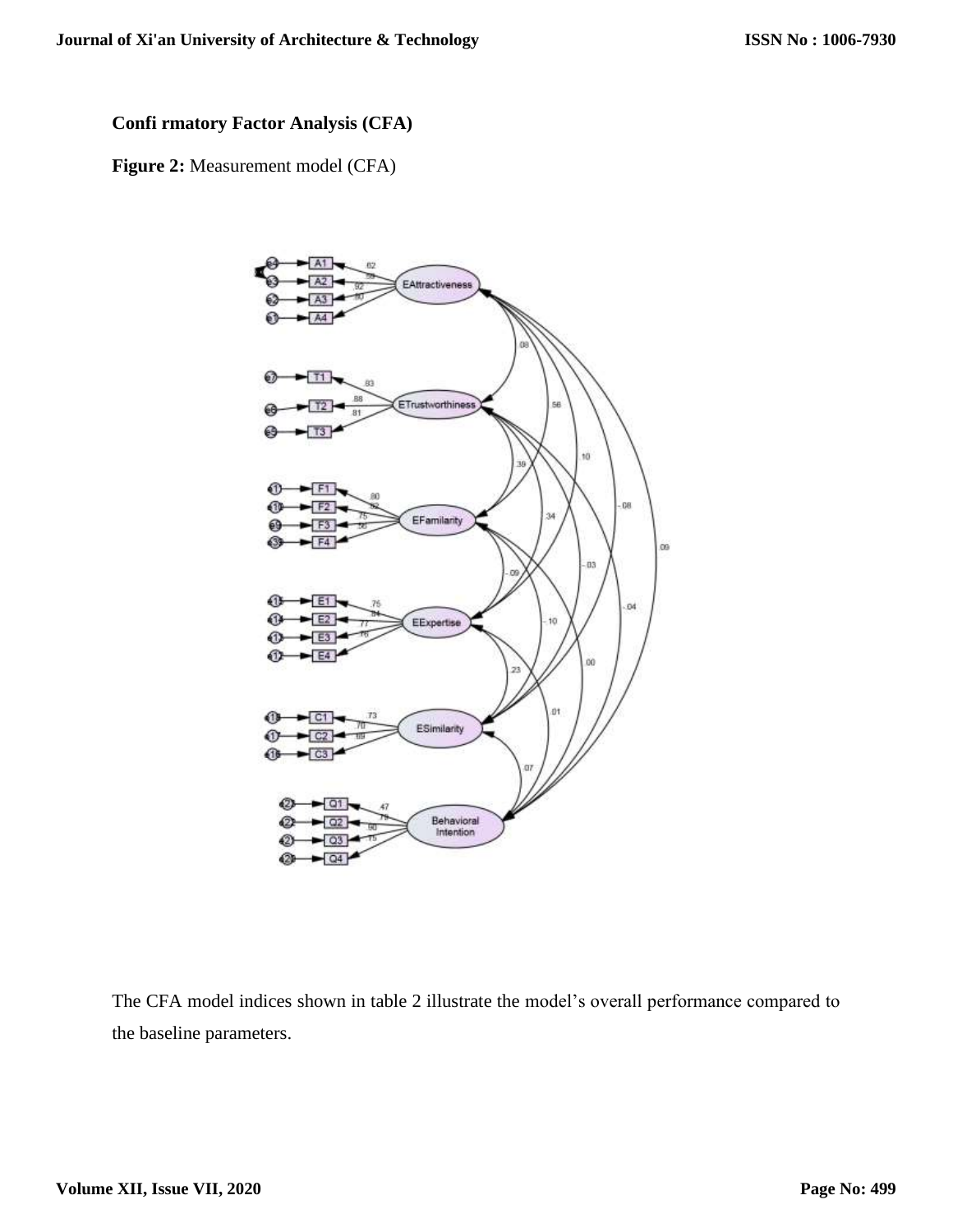# **Confi rmatory Factor Analysis (CFA)**

**Figure 2:** Measurement model (CFA)



The CFA model indices shown in table 2 illustrate the model's overall performance compared to the baseline parameters.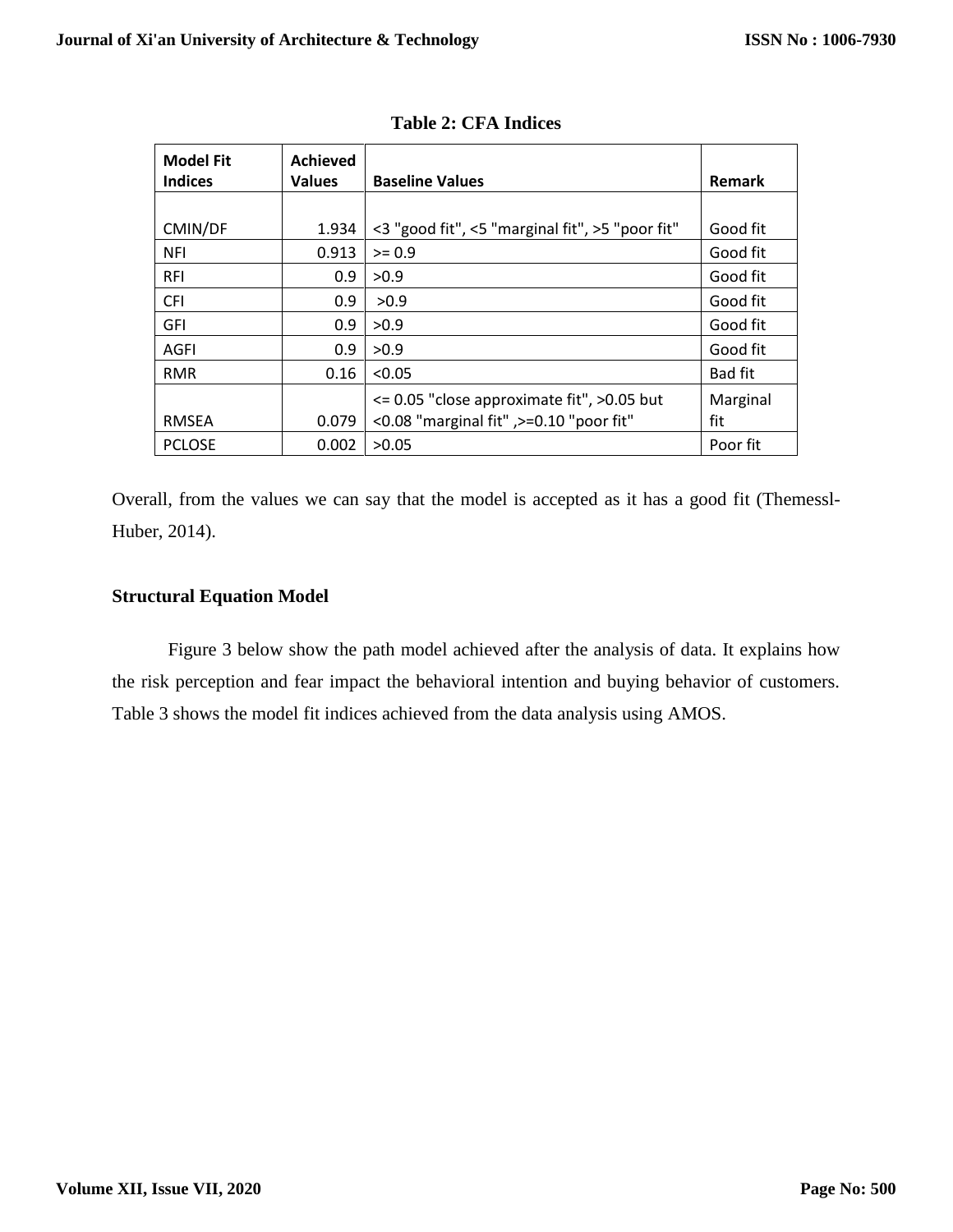| <b>Model Fit</b><br><b>Indices</b> | <b>Achieved</b><br><b>Values</b> | <b>Baseline Values</b>                            | <b>Remark</b>  |
|------------------------------------|----------------------------------|---------------------------------------------------|----------------|
|                                    |                                  |                                                   |                |
| CMIN/DF                            | 1.934                            | <3 "good fit", <5 "marginal fit", >5 "poor fit"   | Good fit       |
| <b>NFI</b>                         | 0.913                            | $>= 0.9$                                          | Good fit       |
| <b>RFI</b>                         | 0.9                              | >0.9                                              | Good fit       |
| <b>CFI</b>                         | 0.9                              | >0.9                                              | Good fit       |
| <b>GFI</b>                         | 0.9                              | >0.9                                              | Good fit       |
| AGFI                               | 0.9                              | >0.9                                              | Good fit       |
| <b>RMR</b>                         | 0.16                             | < 0.05                                            | <b>Bad fit</b> |
|                                    |                                  | $\leq$ 0.05 "close approximate fit", $>$ 0.05 but | Marginal       |
| <b>RMSEA</b>                       | 0.079                            | <0.08 "marginal fit" ,>=0.10 "poor fit"           | fit            |
| <b>PCLOSE</b>                      | 0.002                            | >0.05                                             | Poor fit       |

|  | <b>Table 2: CFA Indices</b> |
|--|-----------------------------|
|  |                             |

Overall, from the values we can say that the model is accepted as it has a good fit (Themessl-Huber, 2014).

# **Structural Equation Model**

Figure 3 below show the path model achieved after the analysis of data. It explains how the risk perception and fear impact the behavioral intention and buying behavior of customers. Table 3 shows the model fit indices achieved from the data analysis using AMOS.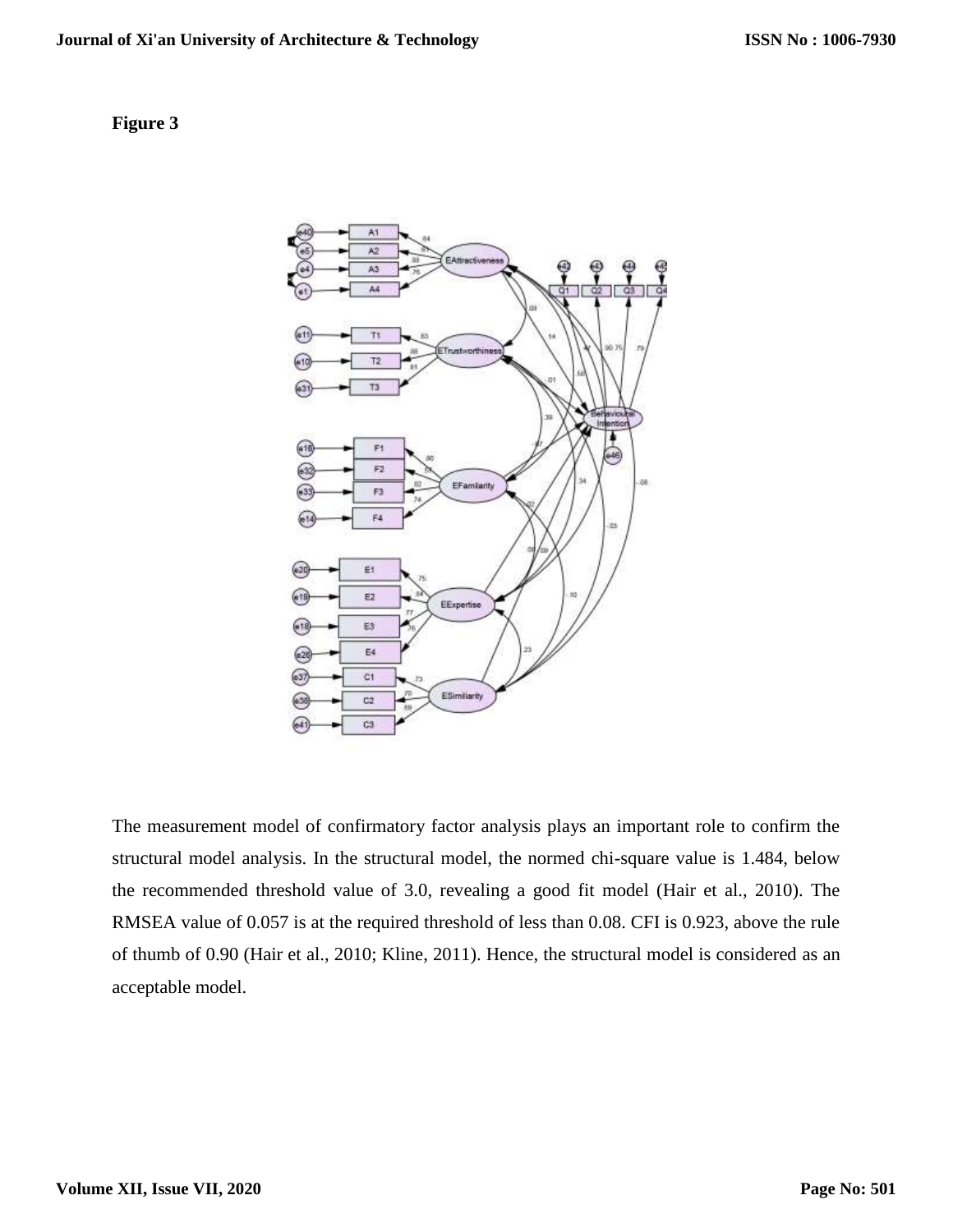# **Figure 3**



The measurement model of confirmatory factor analysis plays an important role to confirm the structural model analysis. In the structural model, the normed chi-square value is 1.484, below the recommended threshold value of 3.0, revealing a good fit model (Hair et al., 2010). The RMSEA value of 0.057 is at the required threshold of less than 0.08. CFI is 0.923, above the rule of thumb of 0.90 (Hair et al., 2010; Kline, 2011). Hence, the structural model is considered as an acceptable model.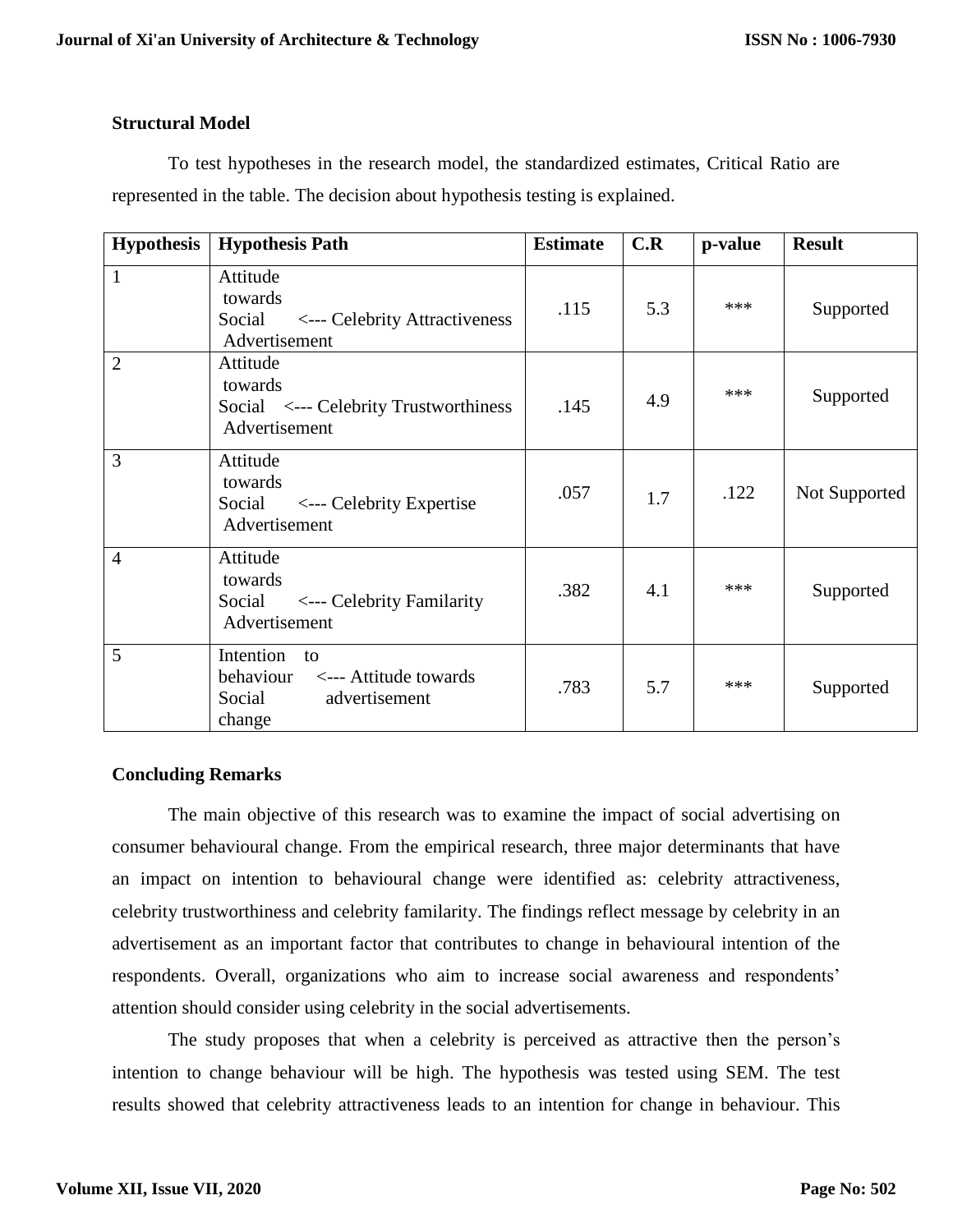# **Structural Model**

To test hypotheses in the research model, the standardized estimates, Critical Ratio are represented in the table. The decision about hypothesis testing is explained.

| <b>Hypothesis</b> | <b>Hypothesis Path</b>                                                                           | <b>Estimate</b> | C.R | p-value | <b>Result</b> |
|-------------------|--------------------------------------------------------------------------------------------------|-----------------|-----|---------|---------------|
| $\mathbf{1}$      | Attitude<br>towards<br>Social <--- Celebrity Attractiveness<br>Advertisement                     | .115            | 5.3 | ***     | Supported     |
| $\overline{2}$    | Attitude<br>towards<br>Social <--- Celebrity Trustworthiness<br>Advertisement                    | .145            | 4.9 | ***     | Supported     |
| 3                 | Attitude<br>towards<br>Social <--- Celebrity Expertise<br>Advertisement                          | .057            | 1.7 | .122    | Not Supported |
| $\overline{4}$    | Attitude<br>towards<br>Social <--- Celebrity Familarity<br>Advertisement                         | .382            | 4.1 | ***     | Supported     |
| 5                 | Intention<br>$\overline{t}$<br>behaviour <--- Attitude towards<br>Social advertisement<br>change | .783            | 5.7 | ***     | Supported     |

# **Concluding Remarks**

The main objective of this research was to examine the impact of social advertising on consumer behavioural change. From the empirical research, three major determinants that have an impact on intention to behavioural change were identified as: celebrity attractiveness, celebrity trustworthiness and celebrity familarity. The findings reflect message by celebrity in an advertisement as an important factor that contributes to change in behavioural intention of the respondents. Overall, organizations who aim to increase social awareness and respondents' attention should consider using celebrity in the social advertisements.

The study proposes that when a celebrity is perceived as attractive then the person's intention to change behaviour will be high. The hypothesis was tested using SEM. The test results showed that celebrity attractiveness leads to an intention for change in behaviour. This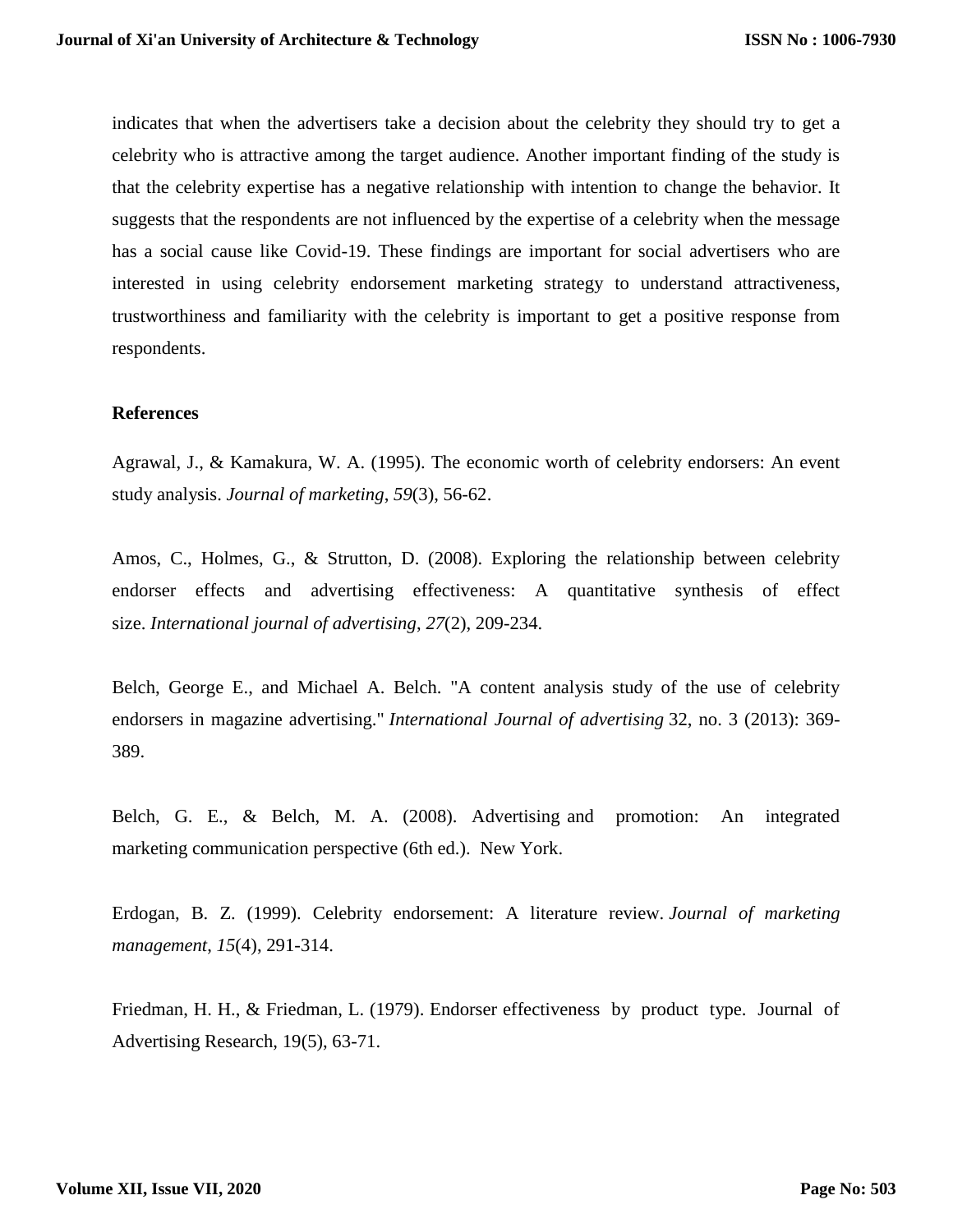indicates that when the advertisers take a decision about the celebrity they should try to get a celebrity who is attractive among the target audience. Another important finding of the study is that the celebrity expertise has a negative relationship with intention to change the behavior. It suggests that the respondents are not influenced by the expertise of a celebrity when the message has a social cause like Covid-19. These findings are important for social advertisers who are interested in using celebrity endorsement marketing strategy to understand attractiveness, trustworthiness and familiarity with the celebrity is important to get a positive response from respondents.

### **References**

Agrawal, J., & Kamakura, W. A. (1995). The economic worth of celebrity endorsers: An event study analysis. *Journal of marketing*, *59*(3), 56-62.

Amos, C., Holmes, G., & Strutton, D. (2008). Exploring the relationship between celebrity endorser effects and advertising effectiveness: A quantitative synthesis of effect size. *International journal of advertising*, *27*(2), 209-234.

Belch, George E., and Michael A. Belch. "A content analysis study of the use of celebrity endorsers in magazine advertising." *International Journal of advertising* 32, no. 3 (2013): 369- 389.

Belch, G. E., & Belch, M. A. (2008). Advertising and promotion: An integrated marketing communication perspective (6th ed.). New York.

Erdogan, B. Z. (1999). Celebrity endorsement: A literature review. *Journal of marketing management*, *15*(4), 291-314.

Friedman, H. H., & Friedman, L. (1979). Endorser effectiveness by product type. Journal of Advertising Research, 19(5), 63-71.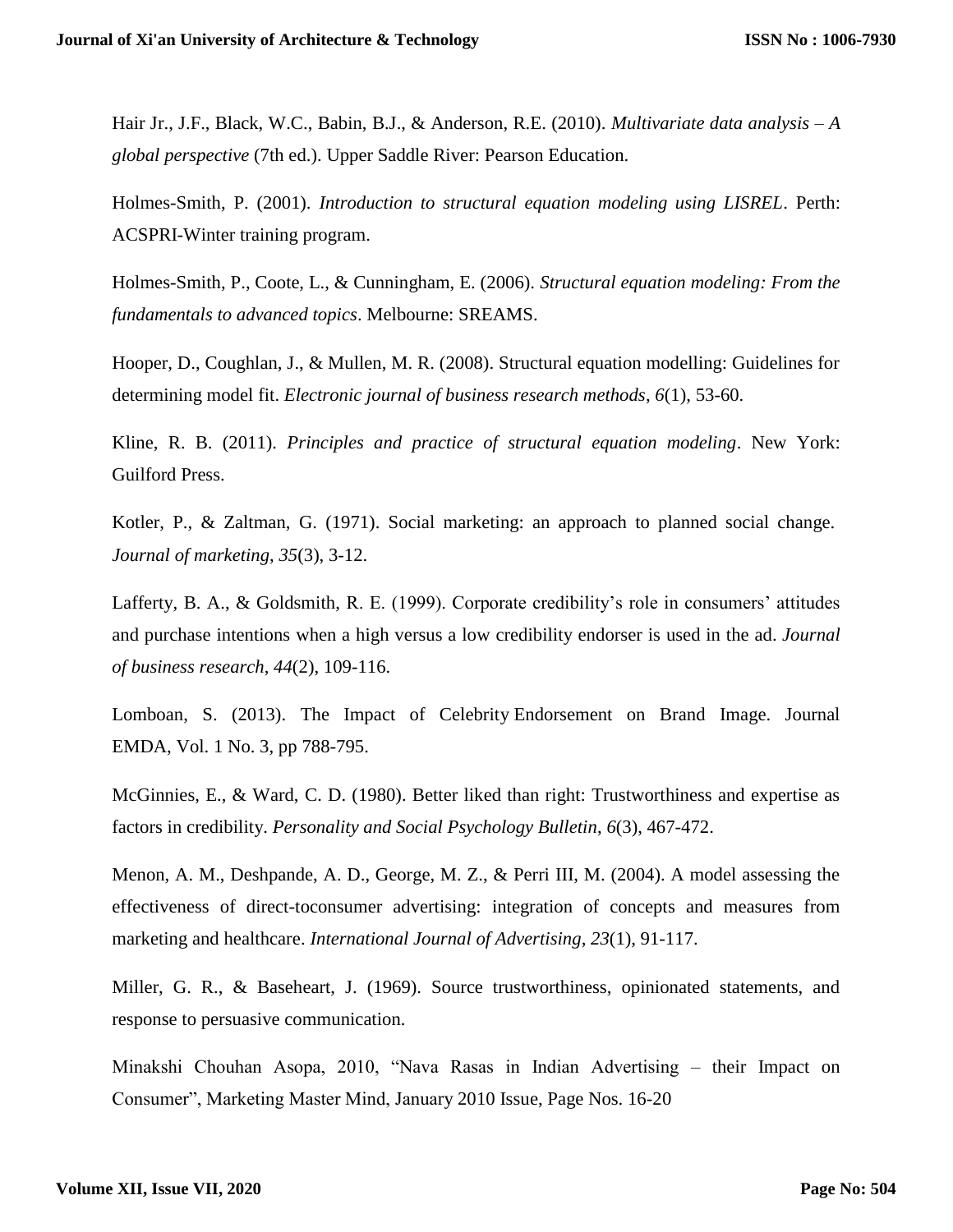Hair Jr., J.F., Black, W.C., Babin, B.J., & Anderson, R.E. (2010). *Multivariate data analysis – A global perspective* (7th ed.). Upper Saddle River: Pearson Education.

Holmes-Smith, P. (2001). *Introduction to structural equation modeling using LISREL*. Perth: ACSPRI-Winter training program.

Holmes-Smith, P., Coote, L., & Cunningham, E. (2006). *Structural equation modeling: From the fundamentals to advanced topics*. Melbourne: SREAMS.

Hooper, D., Coughlan, J., & Mullen, M. R. (2008). Structural equation modelling: Guidelines for determining model fit. *Electronic journal of business research methods*, *6*(1), 53-60.

Kline, R. B. (2011). *Principles and practice of structural equation modeling*. New York: Guilford Press.

Kotler, P., & Zaltman, G. (1971). Social marketing: an approach to planned social change. *Journal of marketing*, *35*(3), 3-12.

Lafferty, B. A., & Goldsmith, R. E. (1999). Corporate credibility's role in consumers' attitudes and purchase intentions when a high versus a low credibility endorser is used in the ad. *Journal of business research*, *44*(2), 109-116.

Lomboan, S. (2013). The Impact of Celebrity Endorsement on Brand Image. Journal EMDA, Vol. 1 No. 3, pp 788-795.

McGinnies, E., & Ward, C. D. (1980). Better liked than right: Trustworthiness and expertise as factors in credibility. *Personality and Social Psychology Bulletin*, *6*(3), 467-472.

Menon, A. M., Deshpande, A. D., George, M. Z., & Perri III, M. (2004). A model assessing the effectiveness of direct-toconsumer advertising: integration of concepts and measures from marketing and healthcare. *International Journal of Advertising*, *23*(1), 91-117.

Miller, G. R., & Baseheart, J. (1969). Source trustworthiness, opinionated statements, and response to persuasive communication.

Minakshi Chouhan Asopa, 2010, "Nava Rasas in Indian Advertising – their Impact on Consumer", Marketing Master Mind, January 2010 Issue, Page Nos. 16-20